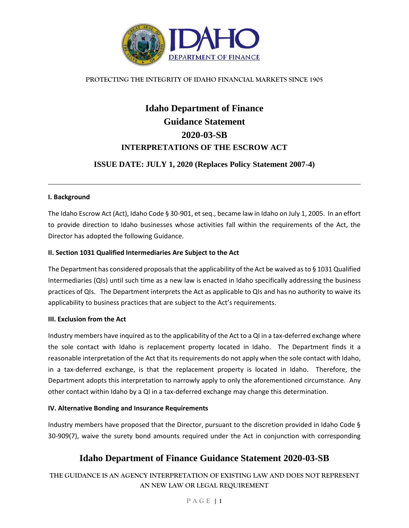

#### **PROTECTING THE INTEGRITY OF IDAHO FINANCIAL MARKETS SINCE 1905**

# **Idaho Department of Finance Guidance Statement 2020-03-SB INTERPRETATIONS OF THE ESCROW ACT**

## **ISSUE DATE: JULY 1, 2020 (Replaces Policy Statement 2007-4)**

#### **I. Background**

The Idaho Escrow Act (Act), Idaho Code § 30-901, et seq., became law in Idaho on July 1, 2005. In an effort to provide direction to Idaho businesses whose activities fall within the requirements of the Act, the Director has adopted the following Guidance.

#### **II. Section 1031 Qualified Intermediaries Are Subject to the Act**

The Department has considered proposals that the applicability of the Act be waived as to § 1031 Qualified Intermediaries (QIs) until such time as a new law is enacted in Idaho specifically addressing the business practices of QIs. The Department interprets the Act as applicable to QIs and has no authority to waive its applicability to business practices that are subject to the Act's requirements.

#### **III. Exclusion from the Act**

Industry members have inquired as to the applicability of the Act to a QI in a tax-deferred exchange where the sole contact with Idaho is replacement property located in Idaho. The Department finds it a reasonable interpretation of the Act that its requirements do not apply when the sole contact with Idaho, in a tax-deferred exchange, is that the replacement property is located in Idaho. Therefore, the Department adopts this interpretation to narrowly apply to only the aforementioned circumstance. Any other contact within Idaho by a QI in a tax-deferred exchange may change this determination.

#### **IV. Alternative Bonding and Insurance Requirements**

Industry members have proposed that the Director, pursuant to the discretion provided in Idaho Code § 30-909(7), waive the surety bond amounts required under the Act in conjunction with corresponding

# **Idaho Department of Finance Guidance Statement 2020-03-SB**

## **THE GUIDANCE IS AN AGENCY INTERPRETATION OF EXISTING LAW AND DOES NOT REPRESENT AN NEW LAW OR LEGAL REQUIREMENT**